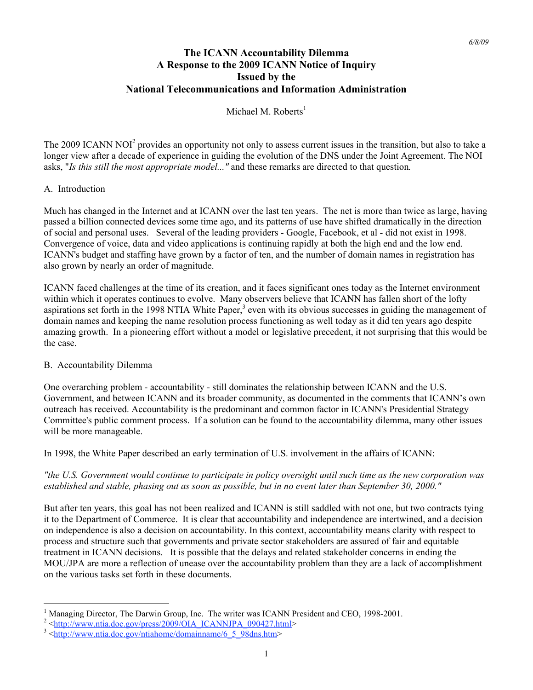# **The ICANN Accountability Dilemma A Response to the 2009 ICANN Notice of Inquiry Issued by the National Telecommunications and Information Administration**

Michael M. Roberts $<sup>1</sup>$ </sup>

The 2009 ICANN NOI<sup>2</sup> provides an opportunity not only to assess current issues in the transition, but also to take a longer view after a decade of experience in guiding the evolution of the DNS under the Joint Agreement. The NOI asks, "*Is this still the most appropriate model..."* and these remarks are directed to that question*.*

## A. Introduction

Much has changed in the Internet and at ICANN over the last ten years. The net is more than twice as large, having passed a billion connected devices some time ago, and its patterns of use have shifted dramatically in the direction of social and personal uses. Several of the leading providers - Google, Facebook, et al - did not exist in 1998. Convergence of voice, data and video applications is continuing rapidly at both the high end and the low end. ICANN's budget and staffing have grown by a factor of ten, and the number of domain names in registration has also grown by nearly an order of magnitude.

ICANN faced challenges at the time of its creation, and it faces significant ones today as the Internet environment within which it operates continues to evolve. Many observers believe that ICANN has fallen short of the lofty aspirations set forth in the 1998 NTIA White Paper,<sup>3</sup> even with its obvious successes in guiding the management of domain names and keeping the name resolution process functioning as well today as it did ten years ago despite amazing growth. In a pioneering effort without a model or legislative precedent, it not surprising that this would be the case.

#### B. Accountability Dilemma

One overarching problem - accountability - still dominates the relationship between ICANN and the U.S. Government, and between ICANN and its broader community, as documented in the comments that ICANN's own outreach has received. Accountability is the predominant and common factor in ICANN's Presidential Strategy Committee's public comment process. If a solution can be found to the accountability dilemma, many other issues will be more manageable.

In 1998, the White Paper described an early termination of U.S. involvement in the affairs of ICANN:

*"the U.S. Government would continue to participate in policy oversight until such time as the new corporation was established and stable, phasing out as soon as possible, but in no event later than September 30, 2000."*

But after ten years, this goal has not been realized and ICANN is still saddled with not one, but two contracts tying it to the Department of Commerce. It is clear that accountability and independence are intertwined, and a decision on independence is also a decision on accountability. In this context, accountability means clarity with respect to process and structure such that governments and private sector stakeholders are assured of fair and equitable treatment in ICANN decisions. It is possible that the delays and related stakeholder concerns in ending the MOU/JPA are more a reflection of unease over the accountability problem than they are a lack of accomplishment on the various tasks set forth in these documents.

 $\frac{1}{1}$ Managing Director, The Darwin Group, Inc. The writer was ICANN President and CEO, 1998-2001. <sup>2</sup>

 $2$  <http://www.ntia.doc.gov/press/2009/OIA\_ICANNJPA\_090427.html>

 $3 \times$ http://www.ntia.doc.gov/ntiahome/domainname/6\_5\_98dns.htm>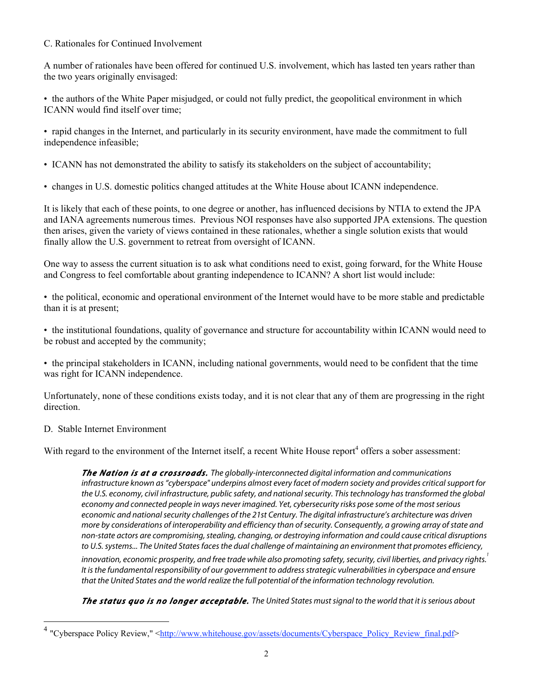## C. Rationales for Continued Involvement

A number of rationales have been offered for continued U.S. involvement, which has lasted ten years rather than the two years originally envisaged:

• the authors of the White Paper misjudged, or could not fully predict, the geopolitical environment in which ICANN would find itself over time;

• rapid changes in the Internet, and particularly in its security environment, have made the commitment to full independence infeasible;

- ICANN has not demonstrated the ability to satisfy its stakeholders on the subject of accountability;
- changes in U.S. domestic politics changed attitudes at the White House about ICANN independence.

It is likely that each of these points, to one degree or another, has influenced decisions by NTIA to extend the JPA and IANA agreements numerous times. Previous NOI responses have also supported JPA extensions. The question then arises, given the variety of views contained in these rationales, whether a single solution exists that would finally allow the U.S. government to retreat from oversight of ICANN.

One way to assess the current situation is to ask what conditions need to exist, going forward, for the White House and Congress to feel comfortable about granting independence to ICANN? A short list would include:

• the political, economic and operational environment of the Internet would have to be more stable and predictable than it is at present;

• the institutional foundations, quality of governance and structure for accountability within ICANN would need to be robust and accepted by the community;

• the principal stakeholders in ICANN, including national governments, would need to be confident that the time was right for ICANN independence.

Unfortunately, none of these conditions exists today, and it is not clear that any of them are progressing in the right direction.

### D. Stable Internet Environment

With regard to the environment of the Internet itself, a recent White House report<sup>4</sup> offers a sober assessment:

**The Nation is at a crossroads.** The globally-interconnected digital information and communications infrastructure known as "cyberspace" underpins almost every facet of modern society and provides critical support for the U.S. economy, civil infrastructure, public safety, and national security. This technology has transformed the global economy and connected people in ways never imagined. Yet, cybersecurity risks pose some of the most serious economic and national security challenges of the 21st Century. The digital infrastructure's architecture was driven more by considerations of interoperability and efficiency than of security. Consequently, a growing array of state and non-state actors are compromising, stealing, changing, or destroying information and could cause critical disruptions to U.S. systems... The United States faces the dual challenge of maintaining an environment that promotes efficiency,

innovation, economic prosperity, and free trade while also promoting safety, security, civil liberties, and privacy rights. It is the fundamental responsibility of our government to address strategic vulnerabilities in cyberspace and ensure that the United States and the world realize the full potential of the information technology revolution.

**The status quo is no longer acceptable.** The United States must signal to the world that it is serious about

<sup>&</sup>quot;Cyberspace Policy Review," <http://www.whitehouse.gov/assets/documents/Cyberspace\_Policy\_Review\_final.pdf>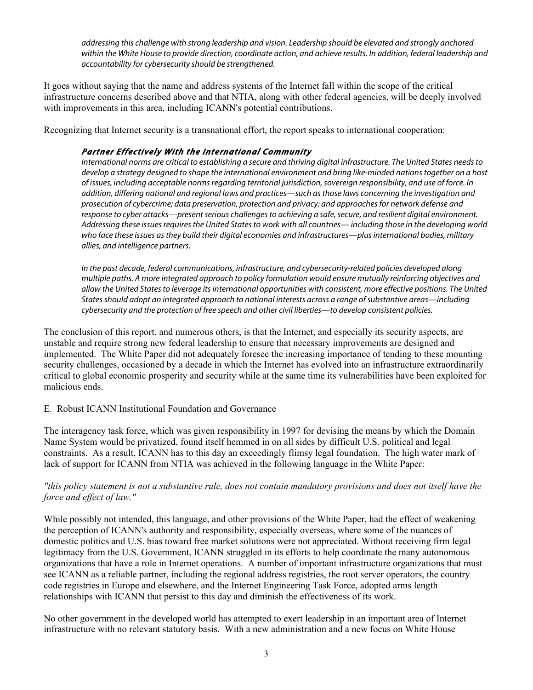addressing this challenge with strong leadership and vision. Leadership should be elevated and strongly anchored within the White House to provide direction, coordinate action, and achieve results. In addition, federal leadership and accountability for cybersecurity should be strengthened.

It goes without saying that the name and address systems of the Internet fall within the scope of the critical infrastructure concerns described above and that NTIA, along with other federal agencies, will be deeply involved with improvements in this area, including ICANN's potential contributions.

Recognizing that Internet security is a transnational effort, the report speaks to international cooperation:

# **Partner Effectively With the International Community**

International norms are critical to establishing a secure and thriving digital infrastructure. The United States needs to develop a strategy designed to shape the international environment and bring like-minded nations together on a host of issues, including acceptable norms regarding territorial jurisdiction, sovereign responsibility, and use of force. In addition, differing national and regional laws and practices—such as those laws concerning the investigation and prosecution of cybercrime; data preservation, protection and privacy; and approaches for network defense and response to cyber attacks—present serious challenges to achieving a safe, secure, and resilient digital environment. Addressing these issues requires the United States to work with all countries— including those in the developing world who face these issues as they build their digital economies and infrastructures—plus international bodies, military allies, and intelligence partners.

In the past decade, federal communications, infrastructure, and cybersecurity-related policies developed along multiple paths. A more integrated approach to policy formulation would ensure mutually reinforcing objectives and allow the United States to leverage its international opportunities with consistent, more effective positions. The United States should adopt an integrated approach to national interests across a range of substantive areas—including cybersecurity and the protection of free speech and other civil liberties—to develop consistent policies.

The conclusion of this report, and numerous others, is that the Internet, and especially its security aspects, are unstable and require strong new federal leadership to ensure that necessary improvements are designed and implemented. The White Paper did not adequately foresee the increasing importance of tending to these mounting security challenges, occasioned by a decade in which the Internet has evolved into an infrastructure extraordinarily critical to global economic prosperity and security while at the same time its vulnerabilities have been exploited for malicious ends.

# E. Robust ICANN Institutional Foundation and Governance

The interagency task force, which was given responsibility in 1997 for devising the means by which the Domain Name System would be privatized, found itself hemmed in on all sides by difficult U.S. political and legal constraints. As a result, ICANN has to this day an exceedingly flimsy legal foundation. The high water mark of lack of support for ICANN from NTIA was achieved in the following language in the White Paper:

## *"this policy statement is not a substantive rule, does not contain mandatory provisions and does not itself have the force and effect of law."*

While possibly not intended, this language, and other provisions of the White Paper, had the effect of weakening the perception of ICANN's authority and responsibility, especially overseas, where some of the nuances of domestic politics and U.S. bias toward free market solutions were not appreciated. Without receiving firm legal legitimacy from the U.S. Government, ICANN struggled in its efforts to help coordinate the many autonomous organizations that have a role in Internet operations. A number of important infrastructure organizations that must see ICANN as a reliable partner, including the regional address registries, the root server operators, the country code registries in Europe and elsewhere, and the Internet Engineering Task Force, adopted arms length relationships with ICANN that persist to this day and diminish the effectiveness of its work.

No other government in the developed world has attempted to exert leadership in an important area of Internet infrastructure with no relevant statutory basis. With a new administration and a new focus on White House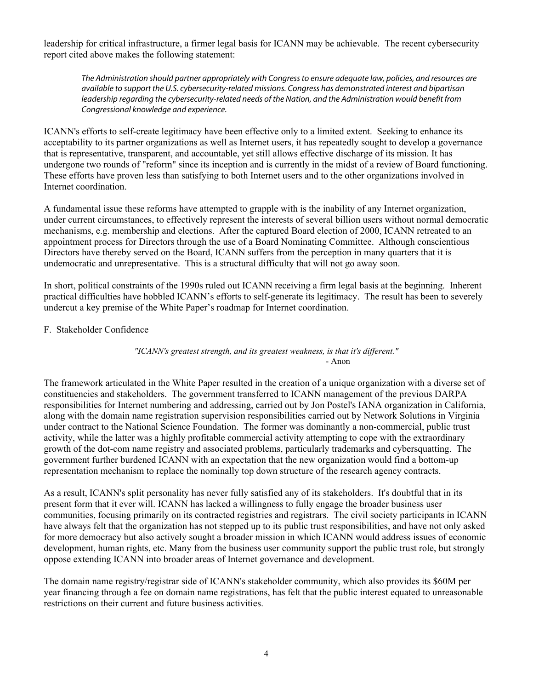leadership for critical infrastructure, a firmer legal basis for ICANN may be achievable. The recent cybersecurity report cited above makes the following statement:

The Administration should partner appropriately with Congress to ensure adequate law, policies, and resources are available to support the U.S. cybersecurity-related missions. Congress has demonstrated interest and bipartisan leadership regarding the cybersecurity-related needs of the Nation, and the Administration would benefit from Congressional knowledge and experience.

ICANN's efforts to self-create legitimacy have been effective only to a limited extent. Seeking to enhance its acceptability to its partner organizations as well as Internet users, it has repeatedly sought to develop a governance that is representative, transparent, and accountable, yet still allows effective discharge of its mission. It has undergone two rounds of "reform" since its inception and is currently in the midst of a review of Board functioning. These efforts have proven less than satisfying to both Internet users and to the other organizations involved in Internet coordination.

A fundamental issue these reforms have attempted to grapple with is the inability of any Internet organization, under current circumstances, to effectively represent the interests of several billion users without normal democratic mechanisms, e.g. membership and elections. After the captured Board election of 2000, ICANN retreated to an appointment process for Directors through the use of a Board Nominating Committee. Although conscientious Directors have thereby served on the Board, ICANN suffers from the perception in many quarters that it is undemocratic and unrepresentative. This is a structural difficulty that will not go away soon.

In short, political constraints of the 1990s ruled out ICANN receiving a firm legal basis at the beginning. Inherent practical difficulties have hobbled ICANN's efforts to self-generate its legitimacy. The result has been to severely undercut a key premise of the White Paper's roadmap for Internet coordination.

F. Stakeholder Confidence

*"ICANN's greatest strength, and its greatest weakness, is that it's different."* - Anon

The framework articulated in the White Paper resulted in the creation of a unique organization with a diverse set of constituencies and stakeholders. The government transferred to ICANN management of the previous DARPA responsibilities for Internet numbering and addressing, carried out by Jon Postel's IANA organization in California, along with the domain name registration supervision responsibilities carried out by Network Solutions in Virginia under contract to the National Science Foundation. The former was dominantly a non-commercial, public trust activity, while the latter was a highly profitable commercial activity attempting to cope with the extraordinary growth of the dot-com name registry and associated problems, particularly trademarks and cybersquatting. The government further burdened ICANN with an expectation that the new organization would find a bottom-up representation mechanism to replace the nominally top down structure of the research agency contracts.

As a result, ICANN's split personality has never fully satisfied any of its stakeholders. It's doubtful that in its present form that it ever will. ICANN has lacked a willingness to fully engage the broader business user communities, focusing primarily on its contracted registries and registrars. The civil society participants in ICANN have always felt that the organization has not stepped up to its public trust responsibilities, and have not only asked for more democracy but also actively sought a broader mission in which ICANN would address issues of economic development, human rights, etc. Many from the business user community support the public trust role, but strongly oppose extending ICANN into broader areas of Internet governance and development.

The domain name registry/registrar side of ICANN's stakeholder community, which also provides its \$60M per year financing through a fee on domain name registrations, has felt that the public interest equated to unreasonable restrictions on their current and future business activities.